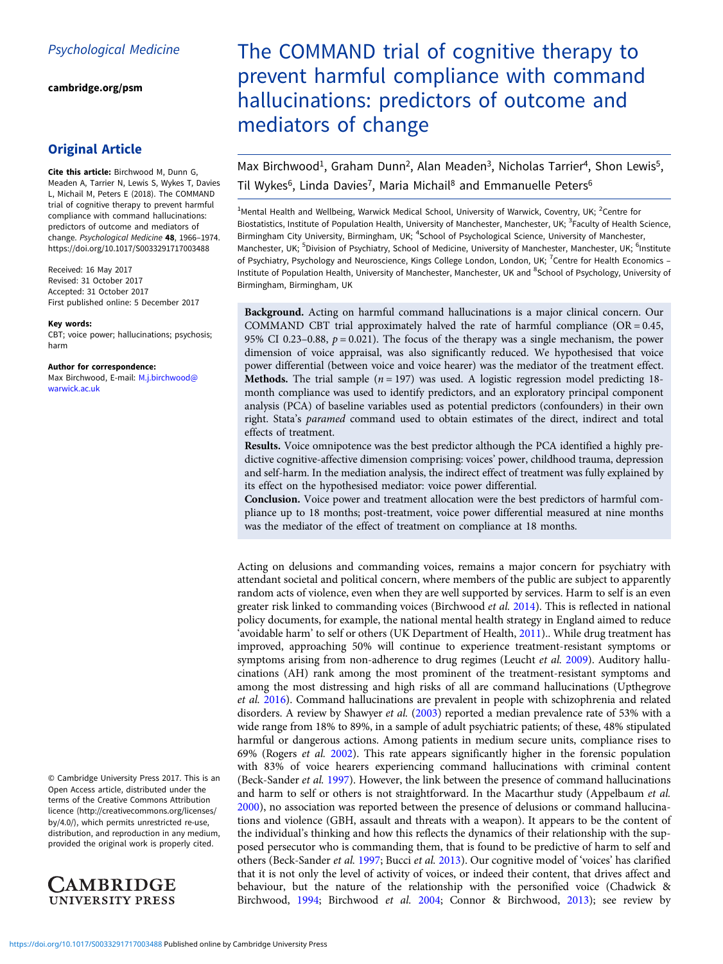[cambridge.org/psm](https://www.cambridge.org/psm)

# Original Article

Cite this article: Birchwood M, Dunn G, Meaden A, Tarrier N, Lewis S, Wykes T, Davies L, Michail M, Peters E (2018). The COMMAND trial of cognitive therapy to prevent harmful compliance with command hallucinations: predictors of outcome and mediators of change. Psychological Medicine 48, 1966–1974. <https://doi.org/10.1017/S0033291717003488>

Received: 16 May 2017 Revised: 31 October 2017 Accepted: 31 October 2017 First published online: 5 December 2017

#### Key words:

CBT; voice power; hallucinations; psychosis; harm

#### Author for correspondence:

Max Birchwood, E-mail: [M.j.birchwood@](mailto:M.j.birchwood@warwick.ac.uk) [warwick.ac.uk](mailto:M.j.birchwood@warwick.ac.uk)

© Cambridge University Press 2017. This is an Open Access article, distributed under the terms of the Creative Commons Attribution licence (http://creativecommons.org/licenses/ by/4.0/), which permits unrestricted re-use, distribution, and reproduction in any medium, provided the original work is properly cited.



# The COMMAND trial of cognitive therapy to prevent harmful compliance with command hallucinations: predictors of outcome and mediators of change

Max Birchwood<sup>1</sup>, Graham Dunn<sup>2</sup>, Alan Meaden<sup>3</sup>, Nicholas Tarrier<sup>4</sup>, Shon Lewis<sup>5</sup>, Til Wykes<sup>6</sup>, Linda Davies<sup>7</sup>, Maria Michail<sup>8</sup> and Emmanuelle Peters<sup>6</sup>

<sup>1</sup>Mental Health and Wellbeing, Warwick Medical School, University of Warwick, Coventry, UK; <sup>2</sup>Centre for Biostatistics, Institute of Population Health, University of Manchester, Manchester, UK; <sup>3</sup>Faculty of Health Science, Birmingham City University, Birmingham, UK; <sup>4</sup>School of Psychological Science, University of Manchester, Manchester, UK; <sup>5</sup>Division of Psychiatry, School of Medicine, University of Manchester, Manchester, UK; <sup>6</sup>Institute of Psychiatry, Psychology and Neuroscience, Kings College London, London, UK; <sup>7</sup>Centre for Health Economics -Institute of Population Health, University of Manchester, Manchester, UK and <sup>8</sup>School of Psychology, University of Birmingham, Birmingham, UK

Background. Acting on harmful command hallucinations is a major clinical concern. Our COMMAND CBT trial approximately halved the rate of harmful compliance  $(OR = 0.45,$ 95% CI 0.23-0.88,  $p = 0.021$ ). The focus of the therapy was a single mechanism, the power dimension of voice appraisal, was also significantly reduced. We hypothesised that voice power differential (between voice and voice hearer) was the mediator of the treatment effect. Methods. The trial sample ( $n = 197$ ) was used. A logistic regression model predicting 18month compliance was used to identify predictors, and an exploratory principal component analysis (PCA) of baseline variables used as potential predictors (confounders) in their own right. Stata's paramed command used to obtain estimates of the direct, indirect and total effects of treatment.

Results. Voice omnipotence was the best predictor although the PCA identified a highly predictive cognitive-affective dimension comprising: voices' power, childhood trauma, depression and self-harm. In the mediation analysis, the indirect effect of treatment was fully explained by its effect on the hypothesised mediator: voice power differential.

Conclusion. Voice power and treatment allocation were the best predictors of harmful compliance up to 18 months; post-treatment, voice power differential measured at nine months was the mediator of the effect of treatment on compliance at 18 months.

Acting on delusions and commanding voices, remains a major concern for psychiatry with attendant societal and political concern, where members of the public are subject to apparently random acts of violence, even when they are well supported by services. Harm to self is an even greater risk linked to commanding voices (Birchwood et al. [2014](#page-8-0)). This is reflected in national policy documents, for example, the national mental health strategy in England aimed to reduce 'avoidable harm' to self or others (UK Department of Health, [2011](#page-8-0)).. While drug treatment has improved, approaching 50% will continue to experience treatment-resistant symptoms or symptoms arising from non-adherence to drug regimes (Leucht et al. [2009](#page-8-0)). Auditory hallucinations (AH) rank among the most prominent of the treatment-resistant symptoms and among the most distressing and high risks of all are command hallucinations (Upthegrove et al. [2016\)](#page-8-0). Command hallucinations are prevalent in people with schizophrenia and related disorders. A review by Shawyer et al. [\(2003\)](#page-8-0) reported a median prevalence rate of 53% with a wide range from 18% to 89%, in a sample of adult psychiatric patients; of these, 48% stipulated harmful or dangerous actions. Among patients in medium secure units, compliance rises to 69% (Rogers et al. [2002\)](#page-8-0). This rate appears significantly higher in the forensic population with 83% of voice hearers experiencing command hallucinations with criminal content (Beck-Sander et al. [1997\)](#page-8-0). However, the link between the presence of command hallucinations and harm to self or others is not straightforward. In the Macarthur study (Appelbaum et al. [2000\)](#page-8-0), no association was reported between the presence of delusions or command hallucinations and violence (GBH, assault and threats with a weapon). It appears to be the content of the individual's thinking and how this reflects the dynamics of their relationship with the supposed persecutor who is commanding them, that is found to be predictive of harm to self and others (Beck-Sander et al. [1997](#page-8-0); Bucci et al. [2013\)](#page-8-0). Our cognitive model of 'voices' has clarified that it is not only the level of activity of voices, or indeed their content, that drives affect and behaviour, but the nature of the relationship with the personified voice (Chadwick & Birchwood, [1994;](#page-8-0) Birchwood et al. [2004;](#page-8-0) Connor & Birchwood, [2013](#page-8-0)); see review by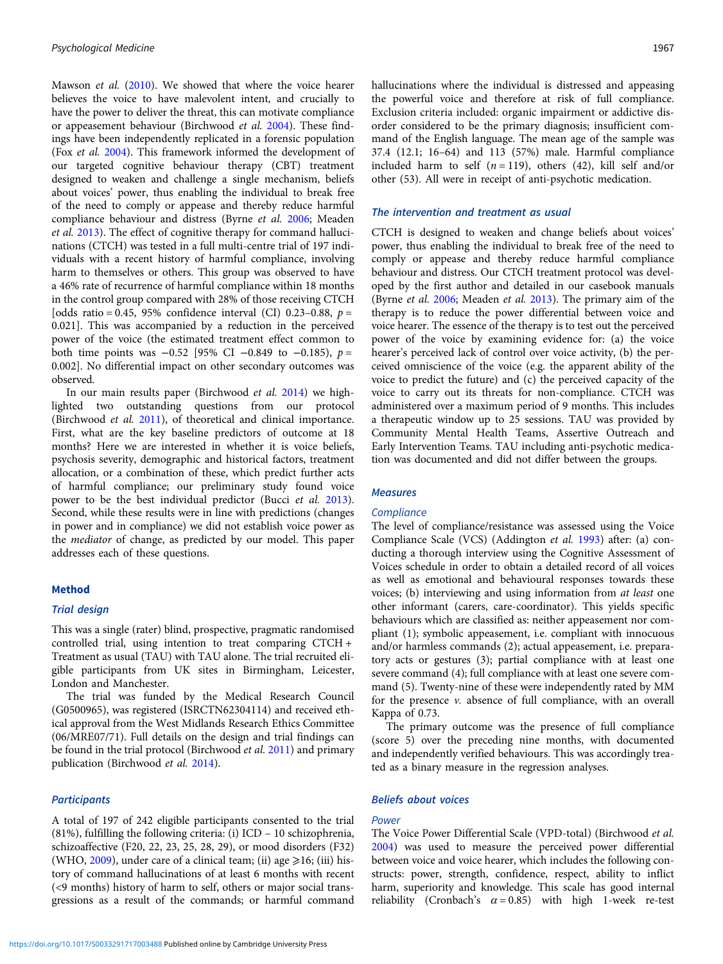Mawson et al. [\(2010](#page-8-0)). We showed that where the voice hearer believes the voice to have malevolent intent, and crucially to have the power to deliver the threat, this can motivate compliance or appeasement behaviour (Birchwood et al. [2004](#page-8-0)). These findings have been independently replicated in a forensic population (Fox et al. [2004](#page-8-0)). This framework informed the development of our targeted cognitive behaviour therapy (CBT) treatment designed to weaken and challenge a single mechanism, beliefs about voices' power, thus enabling the individual to break free of the need to comply or appease and thereby reduce harmful compliance behaviour and distress (Byrne et al. [2006](#page-8-0); Meaden et al. [2013\)](#page-8-0). The effect of cognitive therapy for command hallucinations (CTCH) was tested in a full multi-centre trial of 197 individuals with a recent history of harmful compliance, involving harm to themselves or others. This group was observed to have a 46% rate of recurrence of harmful compliance within 18 months in the control group compared with 28% of those receiving CTCH [odds ratio = 0.45, 95% confidence interval (CI) 0.23-0.88,  $p =$ 0.021]. This was accompanied by a reduction in the perceived power of the voice (the estimated treatment effect common to both time points was  $-0.52$  [95% CI  $-0.849$  to  $-0.185$ ),  $p =$ 0.002]. No differential impact on other secondary outcomes was observed.

In our main results paper (Birchwood et al. [2014\)](#page-8-0) we highlighted two outstanding questions from our protocol (Birchwood et al. [2011\)](#page-8-0), of theoretical and clinical importance. First, what are the key baseline predictors of outcome at 18 months? Here we are interested in whether it is voice beliefs, psychosis severity, demographic and historical factors, treatment allocation, or a combination of these, which predict further acts of harmful compliance; our preliminary study found voice power to be the best individual predictor (Bucci et al. [2013\)](#page-8-0). Second, while these results were in line with predictions (changes in power and in compliance) we did not establish voice power as the mediator of change, as predicted by our model. This paper addresses each of these questions.

# Method

# Trial design

This was a single (rater) blind, prospective, pragmatic randomised controlled trial, using intention to treat comparing CTCH + Treatment as usual (TAU) with TAU alone. The trial recruited eligible participants from UK sites in Birmingham, Leicester, London and Manchester.

The trial was funded by the Medical Research Council (G0500965), was registered (ISRCTN62304114) and received ethical approval from the West Midlands Research Ethics Committee (06/MRE07/71). Full details on the design and trial findings can be found in the trial protocol (Birchwood et al. [2011](#page-8-0)) and primary publication (Birchwood et al. [2014](#page-8-0)).

# **Participants**

A total of 197 of 242 eligible participants consented to the trial (81%), fulfilling the following criteria: (i) ICD – 10 schizophrenia, schizoaffective (F20, 22, 23, 25, 28, 29), or mood disorders (F32) (WHO,  $2009$ ), under care of a clinical team; (ii) age  $\geq 16$ ; (iii) history of command hallucinations of at least 6 months with recent (<9 months) history of harm to self, others or major social transgressions as a result of the commands; or harmful command hallucinations where the individual is distressed and appeasing the powerful voice and therefore at risk of full compliance. Exclusion criteria included: organic impairment or addictive disorder considered to be the primary diagnosis; insufficient command of the English language. The mean age of the sample was 37.4 (12.1; 16–64) and 113 (57%) male. Harmful compliance included harm to self  $(n = 119)$ , others (42), kill self and/or other (53). All were in receipt of anti-psychotic medication.

# The intervention and treatment as usual

CTCH is designed to weaken and change beliefs about voices' power, thus enabling the individual to break free of the need to comply or appease and thereby reduce harmful compliance behaviour and distress. Our CTCH treatment protocol was developed by the first author and detailed in our casebook manuals (Byrne et al. [2006;](#page-8-0) Meaden et al. [2013](#page-8-0)). The primary aim of the therapy is to reduce the power differential between voice and voice hearer. The essence of the therapy is to test out the perceived power of the voice by examining evidence for: (a) the voice hearer's perceived lack of control over voice activity, (b) the perceived omniscience of the voice (e.g. the apparent ability of the voice to predict the future) and (c) the perceived capacity of the voice to carry out its threats for non-compliance. CTCH was administered over a maximum period of 9 months. This includes a therapeutic window up to 25 sessions. TAU was provided by Community Mental Health Teams, Assertive Outreach and Early Intervention Teams. TAU including anti-psychotic medication was documented and did not differ between the groups.

# Measures

### **Compliance**

The level of compliance/resistance was assessed using the Voice Compliance Scale (VCS) (Addington et al. [1993\)](#page-7-0) after: (a) conducting a thorough interview using the Cognitive Assessment of Voices schedule in order to obtain a detailed record of all voices as well as emotional and behavioural responses towards these voices; (b) interviewing and using information from at least one other informant (carers, care-coordinator). This yields specific behaviours which are classified as: neither appeasement nor compliant (1); symbolic appeasement, i.e. compliant with innocuous and/or harmless commands (2); actual appeasement, i.e. preparatory acts or gestures (3); partial compliance with at least one severe command (4); full compliance with at least one severe command (5). Twenty-nine of these were independently rated by MM for the presence v. absence of full compliance, with an overall Kappa of 0.73.

The primary outcome was the presence of full compliance (score 5) over the preceding nine months, with documented and independently verified behaviours. This was accordingly treated as a binary measure in the regression analyses.

# Beliefs about voices

# **Power**

The Voice Power Differential Scale (VPD-total) (Birchwood et al. [2004](#page-8-0)) was used to measure the perceived power differential between voice and voice hearer, which includes the following constructs: power, strength, confidence, respect, ability to inflict harm, superiority and knowledge. This scale has good internal reliability (Cronbach's  $\alpha = 0.85$ ) with high 1-week re-test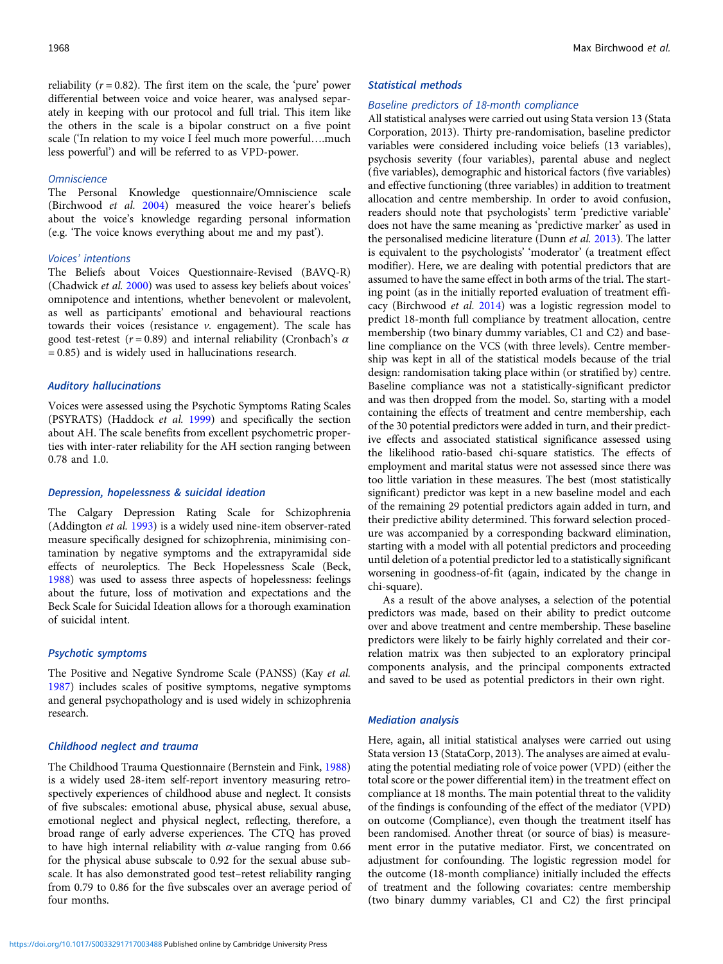reliability ( $r = 0.82$ ). The first item on the scale, the 'pure' power differential between voice and voice hearer, was analysed separately in keeping with our protocol and full trial. This item like the others in the scale is a bipolar construct on a five point scale ('In relation to my voice I feel much more powerful….much less powerful') and will be referred to as VPD-power.

# **Omniscience**

The Personal Knowledge questionnaire/Omniscience scale (Birchwood et al. [2004\)](#page-8-0) measured the voice hearer's beliefs about the voice's knowledge regarding personal information (e.g. 'The voice knows everything about me and my past').

#### Voices' intentions

The Beliefs about Voices Questionnaire-Revised (BAVQ-R) (Chadwick et al. [2000](#page-8-0)) was used to assess key beliefs about voices' omnipotence and intentions, whether benevolent or malevolent, as well as participants' emotional and behavioural reactions towards their voices (resistance  $\nu$ . engagement). The scale has good test-retest ( $r = 0.89$ ) and internal reliability (Cronbach's  $\alpha$ = 0.85) and is widely used in hallucinations research.

# Auditory hallucinations

Voices were assessed using the Psychotic Symptoms Rating Scales (PSYRATS) (Haddock et al. [1999\)](#page-8-0) and specifically the section about AH. The scale benefits from excellent psychometric properties with inter-rater reliability for the AH section ranging between 0.78 and 1.0.

# Depression, hopelessness & suicidal ideation

The Calgary Depression Rating Scale for Schizophrenia (Addington et al. [1993](#page-7-0)) is a widely used nine-item observer-rated measure specifically designed for schizophrenia, minimising contamination by negative symptoms and the extrapyramidal side effects of neuroleptics. The Beck Hopelessness Scale (Beck, [1988\)](#page-8-0) was used to assess three aspects of hopelessness: feelings about the future, loss of motivation and expectations and the Beck Scale for Suicidal Ideation allows for a thorough examination of suicidal intent.

# Psychotic symptoms

The Positive and Negative Syndrome Scale (PANSS) (Kay et al. [1987\)](#page-8-0) includes scales of positive symptoms, negative symptoms and general psychopathology and is used widely in schizophrenia research.

# Childhood neglect and trauma

The Childhood Trauma Questionnaire (Bernstein and Fink, [1988\)](#page-8-0) is a widely used 28-item self-report inventory measuring retrospectively experiences of childhood abuse and neglect. It consists of five subscales: emotional abuse, physical abuse, sexual abuse, emotional neglect and physical neglect, reflecting, therefore, a broad range of early adverse experiences. The CTQ has proved to have high internal reliability with  $\alpha$ -value ranging from 0.66 for the physical abuse subscale to 0.92 for the sexual abuse subscale. It has also demonstrated good test–retest reliability ranging from 0.79 to 0.86 for the five subscales over an average period of four months.

#### Statistical methods

# Baseline predictors of 18-month compliance

All statistical analyses were carried out using Stata version 13 (Stata Corporation, 2013). Thirty pre-randomisation, baseline predictor variables were considered including voice beliefs (13 variables), psychosis severity (four variables), parental abuse and neglect (five variables), demographic and historical factors (five variables) and effective functioning (three variables) in addition to treatment allocation and centre membership. In order to avoid confusion, readers should note that psychologists' term 'predictive variable' does not have the same meaning as 'predictive marker' as used in the personalised medicine literature (Dunn et al. [2013](#page-8-0)). The latter is equivalent to the psychologists' 'moderator' (a treatment effect modifier). Here, we are dealing with potential predictors that are assumed to have the same effect in both arms of the trial. The starting point (as in the initially reported evaluation of treatment efficacy (Birchwood et al. [2014\)](#page-8-0) was a logistic regression model to predict 18-month full compliance by treatment allocation, centre membership (two binary dummy variables, C1 and C2) and baseline compliance on the VCS (with three levels). Centre membership was kept in all of the statistical models because of the trial design: randomisation taking place within (or stratified by) centre. Baseline compliance was not a statistically-significant predictor and was then dropped from the model. So, starting with a model containing the effects of treatment and centre membership, each of the 30 potential predictors were added in turn, and their predictive effects and associated statistical significance assessed using the likelihood ratio-based chi-square statistics. The effects of employment and marital status were not assessed since there was too little variation in these measures. The best (most statistically significant) predictor was kept in a new baseline model and each of the remaining 29 potential predictors again added in turn, and their predictive ability determined. This forward selection procedure was accompanied by a corresponding backward elimination, starting with a model with all potential predictors and proceeding until deletion of a potential predictor led to a statistically significant worsening in goodness-of-fit (again, indicated by the change in chi-square).

As a result of the above analyses, a selection of the potential predictors was made, based on their ability to predict outcome over and above treatment and centre membership. These baseline predictors were likely to be fairly highly correlated and their correlation matrix was then subjected to an exploratory principal components analysis, and the principal components extracted and saved to be used as potential predictors in their own right.

## Mediation analysis

Here, again, all initial statistical analyses were carried out using Stata version 13 (StataCorp, 2013). The analyses are aimed at evaluating the potential mediating role of voice power (VPD) (either the total score or the power differential item) in the treatment effect on compliance at 18 months. The main potential threat to the validity of the findings is confounding of the effect of the mediator (VPD) on outcome (Compliance), even though the treatment itself has been randomised. Another threat (or source of bias) is measurement error in the putative mediator. First, we concentrated on adjustment for confounding. The logistic regression model for the outcome (18-month compliance) initially included the effects of treatment and the following covariates: centre membership (two binary dummy variables, C1 and C2) the first principal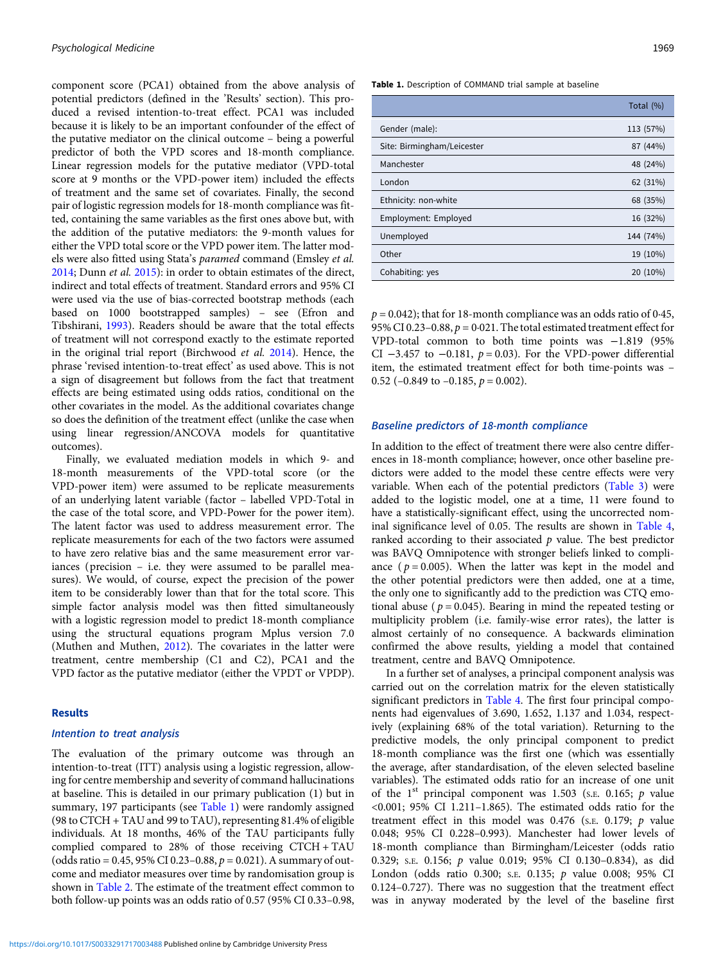component score (PCA1) obtained from the above analysis of potential predictors (defined in the 'Results' section). This produced a revised intention-to-treat effect. PCA1 was included because it is likely to be an important confounder of the effect of the putative mediator on the clinical outcome – being a powerful predictor of both the VPD scores and 18-month compliance. Linear regression models for the putative mediator (VPD-total score at 9 months or the VPD-power item) included the effects of treatment and the same set of covariates. Finally, the second pair of logistic regression models for 18-month compliance was fitted, containing the same variables as the first ones above but, with the addition of the putative mediators: the 9-month values for either the VPD total score or the VPD power item. The latter models were also fitted using Stata's paramed command (Emsley et al. [2014;](#page-8-0) Dunn et al. [2015](#page-8-0)): in order to obtain estimates of the direct, indirect and total effects of treatment. Standard errors and 95% CI were used via the use of bias-corrected bootstrap methods (each based on 1000 bootstrapped samples) – see (Efron and Tibshirani, [1993\)](#page-8-0). Readers should be aware that the total effects of treatment will not correspond exactly to the estimate reported in the original trial report (Birchwood et al. [2014](#page-8-0)). Hence, the phrase 'revised intention-to-treat effect' as used above. This is not a sign of disagreement but follows from the fact that treatment effects are being estimated using odds ratios, conditional on the other covariates in the model. As the additional covariates change so does the definition of the treatment effect (unlike the case when using linear regression/ANCOVA models for quantitative outcomes).

Finally, we evaluated mediation models in which 9- and 18-month measurements of the VPD-total score (or the VPD-power item) were assumed to be replicate measurements of an underlying latent variable (factor – labelled VPD-Total in the case of the total score, and VPD-Power for the power item). The latent factor was used to address measurement error. The replicate measurements for each of the two factors were assumed to have zero relative bias and the same measurement error variances (precision – i.e. they were assumed to be parallel measures). We would, of course, expect the precision of the power item to be considerably lower than that for the total score. This simple factor analysis model was then fitted simultaneously with a logistic regression model to predict 18-month compliance using the structural equations program Mplus version 7.0 (Muthen and Muthen, [2012](#page-8-0)). The covariates in the latter were treatment, centre membership (C1 and C2), PCA1 and the VPD factor as the putative mediator (either the VPDT or VPDP).

# Results

# Intention to treat analysis

The evaluation of the primary outcome was through an intention-to-treat (ITT) analysis using a logistic regression, allowing for centre membership and severity of command hallucinations at baseline. This is detailed in our primary publication (1) but in summary, 197 participants (see Table 1) were randomly assigned (98 to CTCH + TAU and 99 to TAU), representing 81.4% of eligible individuals. At 18 months, 46% of the TAU participants fully complied compared to 28% of those receiving CTCH + TAU (odds ratio =  $0.45$ , 95% CI 0.23-0.88,  $p = 0.021$ ). A summary of outcome and mediator measures over time by randomisation group is shown in [Table 2](#page-4-0). The estimate of the treatment effect common to both follow-up points was an odds ratio of 0.57 (95% CI 0.33–0.98,

Table 1. Description of COMMAND trial sample at baseline

|                            | Total (%) |
|----------------------------|-----------|
| Gender (male):             | 113 (57%) |
| Site: Birmingham/Leicester | 87 (44%)  |
| Manchester                 | 48 (24%)  |
| London                     | 62 (31%)  |
| Ethnicity: non-white       | 68 (35%)  |
| Employment: Employed       | 16 (32%)  |
| Unemployed                 | 144 (74%) |
| Other                      | 19 (10%)  |
| Cohabiting: yes            | 20 (10%)  |

 $p = 0.042$ ; that for 18-month compliance was an odds ratio of 0.45, 95% CI 0.23–0.88,  $p = 0.021$ . The total estimated treatment effect for VPD-total common to both time points was −1.819 (95% CI  $-3.457$  to  $-0.181$ ,  $p = 0.03$ ). For the VPD-power differential item, the estimated treatment effect for both time-points was – 0.52 (-0.849 to  $-0.185$ ,  $p = 0.002$ ).

# Baseline predictors of 18-month compliance

In addition to the effect of treatment there were also centre differences in 18-month compliance; however, once other baseline predictors were added to the model these centre effects were very variable. When each of the potential predictors [\(Table 3\)](#page-4-0) were added to the logistic model, one at a time, 11 were found to have a statistically-significant effect, using the uncorrected nominal significance level of 0.05. The results are shown in [Table 4](#page-5-0), ranked according to their associated  $p$  value. The best predictor was BAVQ Omnipotence with stronger beliefs linked to compliance ( $p = 0.005$ ). When the latter was kept in the model and the other potential predictors were then added, one at a time, the only one to significantly add to the prediction was CTQ emotional abuse ( $p = 0.045$ ). Bearing in mind the repeated testing or multiplicity problem (i.e. family-wise error rates), the latter is almost certainly of no consequence. A backwards elimination confirmed the above results, yielding a model that contained treatment, centre and BAVQ Omnipotence.

In a further set of analyses, a principal component analysis was carried out on the correlation matrix for the eleven statistically significant predictors in [Table 4.](#page-5-0) The first four principal components had eigenvalues of 3.690, 1.652, 1.137 and 1.034, respectively (explaining 68% of the total variation). Returning to the predictive models, the only principal component to predict 18-month compliance was the first one (which was essentially the average, after standardisation, of the eleven selected baseline variables). The estimated odds ratio for an increase of one unit of the  $1<sup>st</sup>$  principal component was 1.503 (s.e. 0.165; p value <0.001; 95% CI 1.211–1.865). The estimated odds ratio for the treatment effect in this model was  $0.476$  (s.e.  $0.179$ ;  $p$  value 0.048; 95% CI 0.228–0.993). Manchester had lower levels of 18-month compliance than Birmingham/Leicester (odds ratio 0.329; S.E. 0.156; p value 0.019; 95% CI 0.130–0.834), as did London (odds ratio 0.300; S.E. 0.135; p value 0.008; 95% CI 0.124–0.727). There was no suggestion that the treatment effect was in anyway moderated by the level of the baseline first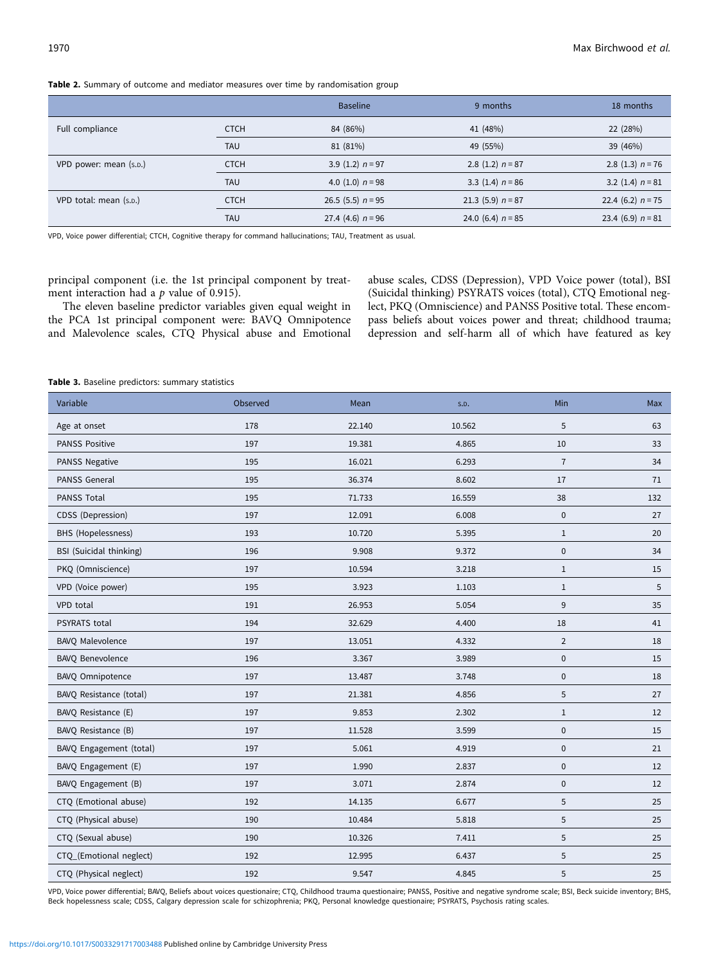<span id="page-4-0"></span>Table 2. Summary of outcome and mediator measures over time by randomisation group

|                        |             | <b>Baseline</b>     | 9 months            | 18 months            |
|------------------------|-------------|---------------------|---------------------|----------------------|
| Full compliance        | <b>CTCH</b> | 84 (86%)            | 41 (48%)            | 22 (28%)             |
|                        | <b>TAU</b>  | 81 (81%)            | 49 (55%)            | 39 (46%)             |
| VPD power: mean (s.p.) | <b>CTCH</b> | 3.9 $(1.2)$ n = 97  | 2.8 $(1.2)$ n = 87  | 2.8 $(1.3)$ n = 76   |
|                        | <b>TAU</b>  | 4.0 $(1.0)$ n = 98  | 3.3 $(1.4)$ n = 86  | 3.2 $(1.4)$ $n = 81$ |
| VPD total: mean (s.p.) | <b>CTCH</b> | 26.5 $(5.5)$ n = 95 | 21.3 $(5.9)$ n = 87 | 22.4 (6.2) $n = 75$  |
|                        | <b>TAU</b>  | 27.4 (4.6) $n = 96$ | 24.0 (6.4) $n = 85$ | 23.4 (6.9) $n = 81$  |

VPD, Voice power differential; CTCH, Cognitive therapy for command hallucinations; TAU, Treatment as usual.

principal component (i.e. the 1st principal component by treatment interaction had a  $p$  value of 0.915).

The eleven baseline predictor variables given equal weight in the PCA 1st principal component were: BAVQ Omnipotence and Malevolence scales, CTQ Physical abuse and Emotional

abuse scales, CDSS (Depression), VPD Voice power (total), BSI (Suicidal thinking) PSYRATS voices (total), CTQ Emotional neglect, PKQ (Omniscience) and PANSS Positive total. These encompass beliefs about voices power and threat; childhood trauma; depression and self-harm all of which have featured as key

Table 3. Baseline predictors: summary statistics

| Variable                       | Observed | Mean   | S.D.   | Min            | Max               |
|--------------------------------|----------|--------|--------|----------------|-------------------|
| Age at onset                   | 178      | 22.140 | 10.562 | 5              | 63                |
| <b>PANSS Positive</b>          | 197      | 19.381 | 4.865  | $10\,$         | 33                |
| PANSS Negative                 | 195      | 16.021 | 6.293  | $\overline{7}$ | 34                |
| PANSS General                  | 195      | 36.374 | 8.602  | 17             | 71                |
| PANSS Total                    | 195      | 71.733 | 16.559 | 38             | 132               |
| CDSS (Depression)              | 197      | 12.091 | 6.008  | $\pmb{0}$      | 27                |
| BHS (Hopelessness)             | 193      | 10.720 | 5.395  | $\mathbf{1}$   | 20                |
| <b>BSI</b> (Suicidal thinking) | 196      | 9.908  | 9.372  | $\pmb{0}$      | 34                |
| PKQ (Omniscience)              | 197      | 10.594 | 3.218  | $\mathbf{1}$   | 15                |
| VPD (Voice power)              | 195      | 3.923  | 1.103  | $\mathbf{1}$   | 5                 |
| VPD total                      | 191      | 26.953 | 5.054  | 9              | 35                |
| <b>PSYRATS</b> total           | 194      | 32.629 | 4.400  | 18             | 41                |
| BAVQ Malevolence               | 197      | 13.051 | 4.332  | $\overline{2}$ | 18                |
| <b>BAVQ Benevolence</b>        | 196      | 3.367  | 3.989  | $\mathbf 0$    | 15                |
| BAVQ Omnipotence               | 197      | 13.487 | 3.748  | $\mathbf 0$    | 18                |
| BAVQ Resistance (total)        | 197      | 21.381 | 4.856  | 5              | 27                |
| BAVQ Resistance (E)            | 197      | 9.853  | 2.302  | $\mathbf{1}$   | $12 \overline{ }$ |
| BAVQ Resistance (B)            | 197      | 11.528 | 3.599  | $\mathbf 0$    | 15                |
| BAVQ Engagement (total)        | 197      | 5.061  | 4.919  | $\mathbf 0$    | 21                |
| BAVQ Engagement (E)            | 197      | 1.990  | 2.837  | $\pmb{0}$      | 12                |
| BAVQ Engagement (B)            | 197      | 3.071  | 2.874  | 0              | $12 \overline{ }$ |
| CTQ (Emotional abuse)          | 192      | 14.135 | 6.677  | 5              | 25                |
| CTQ (Physical abuse)           | 190      | 10.484 | 5.818  | 5              | 25                |
| CTQ (Sexual abuse)             | 190      | 10.326 | 7.411  | 5              | 25                |
| CTQ_(Emotional neglect)        | 192      | 12.995 | 6.437  | 5              | 25                |
| CTQ (Physical neglect)         | 192      | 9.547  | 4.845  | 5              | 25                |

VPD, Voice power differential; BAVQ, Beliefs about voices questionaire; CTQ, Childhood trauma questionaire; PANSS, Positive and negative syndrome scale; BSI, Beck suicide inventory; BHS, Beck hopelessness scale; CDSS, Calgary depression scale for schizophrenia; PKQ, Personal knowledge questionaire; PSYRATS, Psychosis rating scales.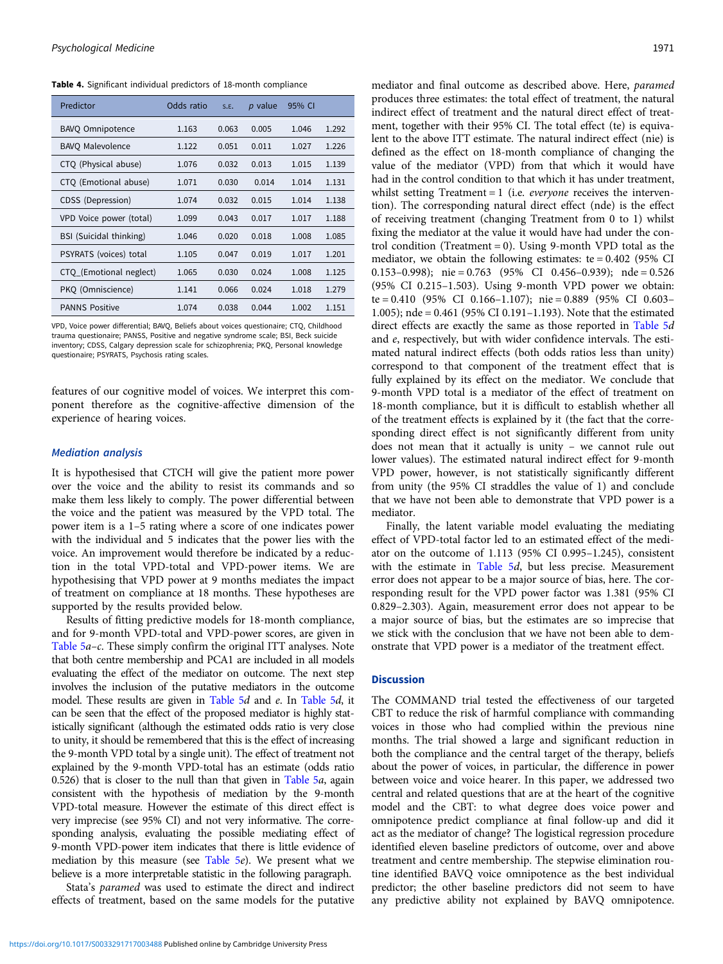<span id="page-5-0"></span>Table 4. Significant individual predictors of 18-month compliance

| Predictor                      | Odds ratio | S.E.  | $p$ value | 95% CI |       |
|--------------------------------|------------|-------|-----------|--------|-------|
| <b>BAVO Omnipotence</b>        | 1.163      | 0.063 | 0.005     | 1.046  | 1.292 |
| <b>BAVO Malevolence</b>        | 1.122      | 0.051 | 0.011     | 1.027  | 1.226 |
| CTQ (Physical abuse)           | 1.076      | 0.032 | 0.013     | 1.015  | 1.139 |
| CTQ (Emotional abuse)          | 1.071      | 0.030 | 0.014     | 1.014  | 1.131 |
| CDSS (Depression)              | 1.074      | 0.032 | 0.015     | 1.014  | 1.138 |
| VPD Voice power (total)        | 1.099      | 0.043 | 0.017     | 1.017  | 1.188 |
| <b>BSI</b> (Suicidal thinking) | 1.046      | 0.020 | 0.018     | 1.008  | 1.085 |
| PSYRATS (voices) total         | 1.105      | 0.047 | 0.019     | 1.017  | 1.201 |
| CTQ_(Emotional neglect)        | 1.065      | 0.030 | 0.024     | 1.008  | 1.125 |
| PKO (Omniscience)              | 1.141      | 0.066 | 0.024     | 1.018  | 1.279 |
| <b>PANNS Positive</b>          | 1.074      | 0.038 | 0.044     | 1.002  | 1.151 |

VPD, Voice power differential; BAVQ, Beliefs about voices questionaire; CTQ, Childhood trauma questionaire; PANSS, Positive and negative syndrome scale; BSI, Beck suicide inventory; CDSS, Calgary depression scale for schizophrenia; PKQ, Personal knowledge questionaire; PSYRATS, Psychosis rating scales.

features of our cognitive model of voices. We interpret this component therefore as the cognitive-affective dimension of the experience of hearing voices.

# Mediation analysis

It is hypothesised that CTCH will give the patient more power over the voice and the ability to resist its commands and so make them less likely to comply. The power differential between the voice and the patient was measured by the VPD total. The power item is a 1–5 rating where a score of one indicates power with the individual and 5 indicates that the power lies with the voice. An improvement would therefore be indicated by a reduction in the total VPD-total and VPD-power items. We are hypothesising that VPD power at 9 months mediates the impact of treatment on compliance at 18 months. These hypotheses are supported by the results provided below.

Results of fitting predictive models for 18-month compliance, and for 9-month VPD-total and VPD-power scores, are given in [Table 5](#page-6-0)a–c. These simply confirm the original ITT analyses. Note that both centre membership and PCA1 are included in all models evaluating the effect of the mediator on outcome. The next step involves the inclusion of the putative mediators in the outcome model. These results are given in [Table 5](#page-6-0)d and e. In [Table 5](#page-6-0)d, it can be seen that the effect of the proposed mediator is highly statistically significant (although the estimated odds ratio is very close to unity, it should be remembered that this is the effect of increasing the 9-month VPD total by a single unit). The effect of treatment not explained by the 9-month VPD-total has an estimate (odds ratio 0.526) that is closer to the null than that given in [Table 5](#page-6-0)a, again consistent with the hypothesis of mediation by the 9-month VPD-total measure. However the estimate of this direct effect is very imprecise (see 95% CI) and not very informative. The corresponding analysis, evaluating the possible mediating effect of 9-month VPD-power item indicates that there is little evidence of mediation by this measure (see [Table 5](#page-6-0)e). We present what we believe is a more interpretable statistic in the following paragraph.

Stata's paramed was used to estimate the direct and indirect effects of treatment, based on the same models for the putative

<https://doi.org/10.1017/S0033291717003488>Published online by Cambridge University Press

mediator and final outcome as described above. Here, paramed produces three estimates: the total effect of treatment, the natural indirect effect of treatment and the natural direct effect of treatment, together with their 95% CI. The total effect (te) is equivalent to the above ITT estimate. The natural indirect effect (nie) is defined as the effect on 18-month compliance of changing the value of the mediator (VPD) from that which it would have had in the control condition to that which it has under treatment, whilst setting Treatment =  $1$  (i.e. *everyone* receives the intervention). The corresponding natural direct effect (nde) is the effect of receiving treatment (changing Treatment from 0 to 1) whilst fixing the mediator at the value it would have had under the control condition (Treatment = 0). Using 9-month VPD total as the mediator, we obtain the following estimates:  $te = 0.402$  (95% CI 0.153–0.998); nie = 0.763 (95% CI 0.456–0.939); nde = 0.526 (95% CI 0.215–1.503). Using 9-month VPD power we obtain: te = 0.410 (95% CI 0.166–1.107); nie = 0.889 (95% CI 0.603– 1.005); nde = 0.461 (95% CI 0.191–1.193). Note that the estimated direct effects are exactly the same as those reported in [Table 5](#page-6-0)d and e, respectively, but with wider confidence intervals. The estimated natural indirect effects (both odds ratios less than unity) correspond to that component of the treatment effect that is fully explained by its effect on the mediator. We conclude that 9-month VPD total is a mediator of the effect of treatment on 18-month compliance, but it is difficult to establish whether all of the treatment effects is explained by it (the fact that the corresponding direct effect is not significantly different from unity does not mean that it actually is unity – we cannot rule out lower values). The estimated natural indirect effect for 9-month VPD power, however, is not statistically significantly different from unity (the 95% CI straddles the value of 1) and conclude that we have not been able to demonstrate that VPD power is a mediator.

Finally, the latent variable model evaluating the mediating effect of VPD-total factor led to an estimated effect of the mediator on the outcome of 1.113 (95% CI 0.995–1.245), consistent with the estimate in [Table 5](#page-6-0)d, but less precise. Measurement error does not appear to be a major source of bias, here. The corresponding result for the VPD power factor was 1.381 (95% CI 0.829–2.303). Again, measurement error does not appear to be a major source of bias, but the estimates are so imprecise that we stick with the conclusion that we have not been able to demonstrate that VPD power is a mediator of the treatment effect.

# **Discussion**

The COMMAND trial tested the effectiveness of our targeted CBT to reduce the risk of harmful compliance with commanding voices in those who had complied within the previous nine months. The trial showed a large and significant reduction in both the compliance and the central target of the therapy, beliefs about the power of voices, in particular, the difference in power between voice and voice hearer. In this paper, we addressed two central and related questions that are at the heart of the cognitive model and the CBT: to what degree does voice power and omnipotence predict compliance at final follow-up and did it act as the mediator of change? The logistical regression procedure identified eleven baseline predictors of outcome, over and above treatment and centre membership. The stepwise elimination routine identified BAVQ voice omnipotence as the best individual predictor; the other baseline predictors did not seem to have any predictive ability not explained by BAVQ omnipotence.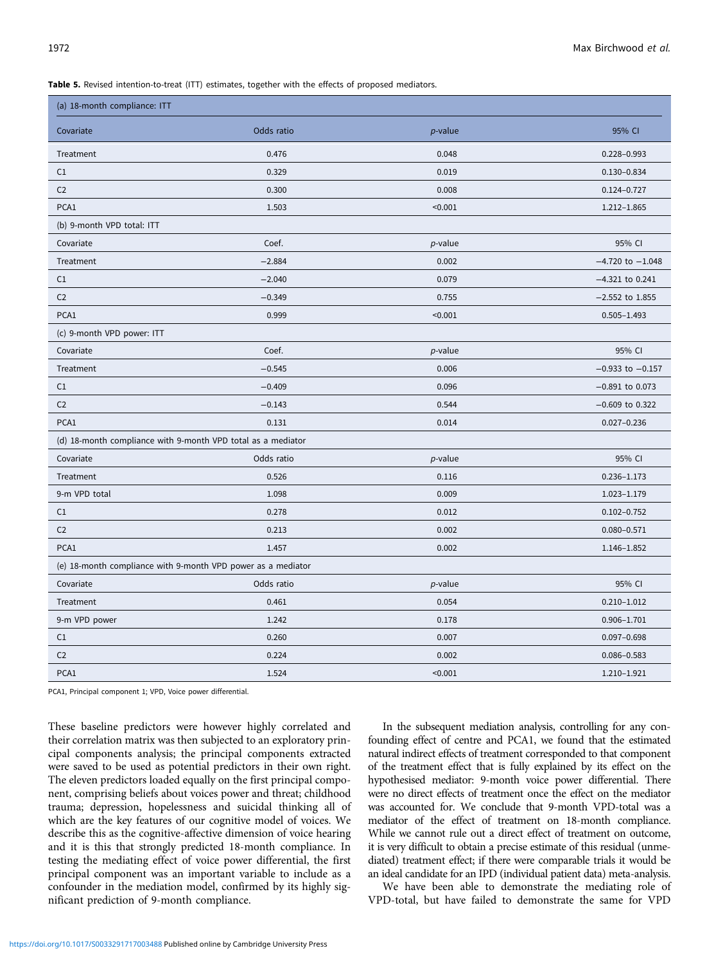<span id="page-6-0"></span>Table 5. Revised intention-to-treat (ITT) estimates, together with the effects of proposed mediators.

| (a) 18-month compliance: ITT                                 |            |                 |                      |  |  |  |
|--------------------------------------------------------------|------------|-----------------|----------------------|--|--|--|
| Covariate                                                    | Odds ratio | $p$ -value      | 95% CI               |  |  |  |
| Treatment                                                    | 0.476      | 0.048           | $0.228 - 0.993$      |  |  |  |
| C1                                                           | 0.329      | 0.019           | $0.130 - 0.834$      |  |  |  |
| C <sub>2</sub>                                               | 0.300      | 0.008           | $0.124 - 0.727$      |  |  |  |
| PCA1                                                         | 1.503      | < 0.001         | $1.212 - 1.865$      |  |  |  |
| (b) 9-month VPD total: ITT                                   |            |                 |                      |  |  |  |
| Covariate                                                    | Coef.      | $p$ -value      | 95% CI               |  |  |  |
| Treatment                                                    | $-2.884$   | 0.002           | $-4.720$ to $-1.048$ |  |  |  |
| C1                                                           | $-2.040$   | 0.079           | $-4.321$ to 0.241    |  |  |  |
| C <sub>2</sub>                                               | $-0.349$   | 0.755           | $-2.552$ to 1.855    |  |  |  |
| PCA1                                                         | 0.999      | < 0.001         | $0.505 - 1.493$      |  |  |  |
| (c) 9-month VPD power: ITT                                   |            |                 |                      |  |  |  |
| Covariate                                                    | Coef.      | <i>p</i> -value | 95% CI               |  |  |  |
| Treatment                                                    | $-0.545$   | 0.006           | $-0.933$ to $-0.157$ |  |  |  |
| C1                                                           | $-0.409$   | 0.096           | $-0.891$ to 0.073    |  |  |  |
| C <sub>2</sub>                                               | $-0.143$   | 0.544           | $-0.609$ to 0.322    |  |  |  |
| PCA1                                                         | 0.131      | 0.014           | $0.027 - 0.236$      |  |  |  |
| (d) 18-month compliance with 9-month VPD total as a mediator |            |                 |                      |  |  |  |
| Covariate                                                    | Odds ratio | $p$ -value      | 95% CI               |  |  |  |
| Treatment                                                    | 0.526      | 0.116           | $0.236 - 1.173$      |  |  |  |
| 9-m VPD total                                                | 1.098      | 0.009           | 1.023-1.179          |  |  |  |
| C1                                                           | 0.278      | 0.012           | $0.102 - 0.752$      |  |  |  |
| C <sub>2</sub>                                               | 0.213      | 0.002           | $0.080 - 0.571$      |  |  |  |
| PCA1                                                         | 1.457      | 0.002           | 1.146-1.852          |  |  |  |
| (e) 18-month compliance with 9-month VPD power as a mediator |            |                 |                      |  |  |  |
| Covariate                                                    | Odds ratio | <i>p</i> -value | 95% CI               |  |  |  |
| Treatment                                                    | 0.461      | 0.054           | $0.210 - 1.012$      |  |  |  |
| 9-m VPD power                                                | 1.242      | 0.178           | $0.906 - 1.701$      |  |  |  |
| C1                                                           | 0.260      | 0.007           | $0.097 - 0.698$      |  |  |  |
| C <sub>2</sub>                                               | 0.224      | 0.002           | $0.086 - 0.583$      |  |  |  |
| PCA1                                                         | 1.524      | < 0.001         | 1.210-1.921          |  |  |  |

PCA1, Principal component 1; VPD, Voice power differential.

These baseline predictors were however highly correlated and their correlation matrix was then subjected to an exploratory principal components analysis; the principal components extracted were saved to be used as potential predictors in their own right. The eleven predictors loaded equally on the first principal component, comprising beliefs about voices power and threat; childhood trauma; depression, hopelessness and suicidal thinking all of which are the key features of our cognitive model of voices. We describe this as the cognitive-affective dimension of voice hearing and it is this that strongly predicted 18-month compliance. In testing the mediating effect of voice power differential, the first principal component was an important variable to include as a confounder in the mediation model, confirmed by its highly significant prediction of 9-month compliance.

In the subsequent mediation analysis, controlling for any confounding effect of centre and PCA1, we found that the estimated natural indirect effects of treatment corresponded to that component of the treatment effect that is fully explained by its effect on the hypothesised mediator: 9-month voice power differential. There were no direct effects of treatment once the effect on the mediator was accounted for. We conclude that 9-month VPD-total was a mediator of the effect of treatment on 18-month compliance. While we cannot rule out a direct effect of treatment on outcome, it is very difficult to obtain a precise estimate of this residual (unmediated) treatment effect; if there were comparable trials it would be an ideal candidate for an IPD (individual patient data) meta-analysis.

We have been able to demonstrate the mediating role of VPD-total, but have failed to demonstrate the same for VPD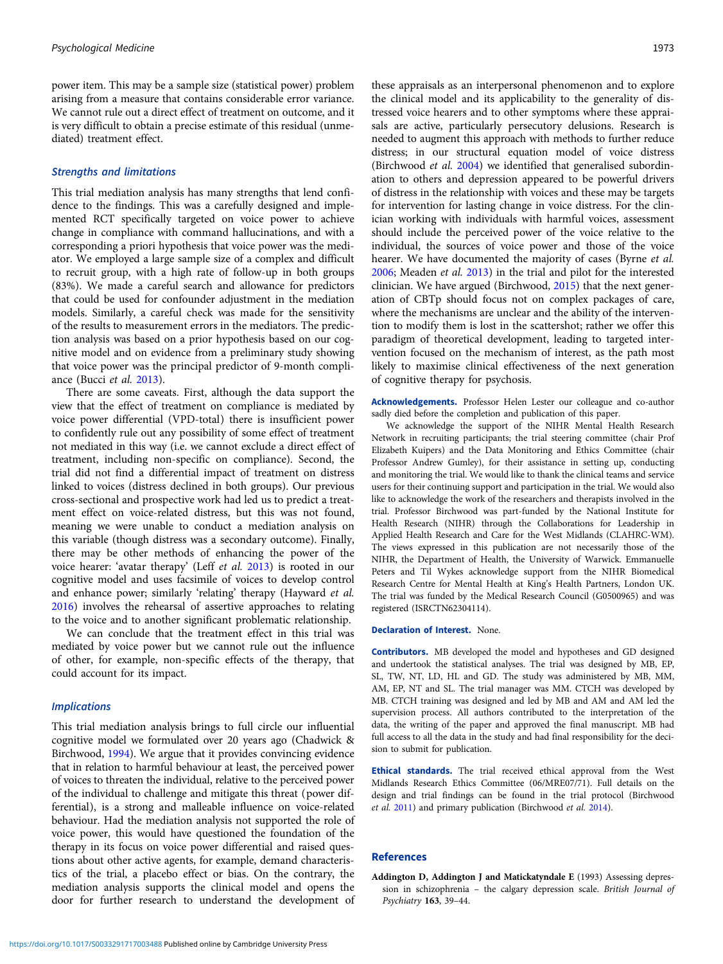<span id="page-7-0"></span>power item. This may be a sample size (statistical power) problem arising from a measure that contains considerable error variance. We cannot rule out a direct effect of treatment on outcome, and it is very difficult to obtain a precise estimate of this residual (unmediated) treatment effect.

### Strengths and limitations

This trial mediation analysis has many strengths that lend confidence to the findings. This was a carefully designed and implemented RCT specifically targeted on voice power to achieve change in compliance with command hallucinations, and with a corresponding a priori hypothesis that voice power was the mediator. We employed a large sample size of a complex and difficult to recruit group, with a high rate of follow-up in both groups (83%). We made a careful search and allowance for predictors that could be used for confounder adjustment in the mediation models. Similarly, a careful check was made for the sensitivity of the results to measurement errors in the mediators. The prediction analysis was based on a prior hypothesis based on our cognitive model and on evidence from a preliminary study showing that voice power was the principal predictor of 9-month compliance (Bucci et al. [2013\)](#page-8-0).

There are some caveats. First, although the data support the view that the effect of treatment on compliance is mediated by voice power differential (VPD-total) there is insufficient power to confidently rule out any possibility of some effect of treatment not mediated in this way (i.e. we cannot exclude a direct effect of treatment, including non-specific on compliance). Second, the trial did not find a differential impact of treatment on distress linked to voices (distress declined in both groups). Our previous cross-sectional and prospective work had led us to predict a treatment effect on voice-related distress, but this was not found, meaning we were unable to conduct a mediation analysis on this variable (though distress was a secondary outcome). Finally, there may be other methods of enhancing the power of the voice hearer: 'avatar therapy' (Leff et al. [2013](#page-8-0)) is rooted in our cognitive model and uses facsimile of voices to develop control and enhance power; similarly 'relating' therapy (Hayward et al. [2016\)](#page-8-0) involves the rehearsal of assertive approaches to relating to the voice and to another significant problematic relationship.

We can conclude that the treatment effect in this trial was mediated by voice power but we cannot rule out the influence of other, for example, non-specific effects of the therapy, that could account for its impact.

## **Implications**

This trial mediation analysis brings to full circle our influential cognitive model we formulated over 20 years ago (Chadwick & Birchwood, [1994\)](#page-8-0). We argue that it provides convincing evidence that in relation to harmful behaviour at least, the perceived power of voices to threaten the individual, relative to the perceived power of the individual to challenge and mitigate this threat (power differential), is a strong and malleable influence on voice-related behaviour. Had the mediation analysis not supported the role of voice power, this would have questioned the foundation of the therapy in its focus on voice power differential and raised questions about other active agents, for example, demand characteristics of the trial, a placebo effect or bias. On the contrary, the mediation analysis supports the clinical model and opens the door for further research to understand the development of

these appraisals as an interpersonal phenomenon and to explore the clinical model and its applicability to the generality of distressed voice hearers and to other symptoms where these appraisals are active, particularly persecutory delusions. Research is needed to augment this approach with methods to further reduce distress; in our structural equation model of voice distress (Birchwood et al. [2004\)](#page-8-0) we identified that generalised subordination to others and depression appeared to be powerful drivers of distress in the relationship with voices and these may be targets for intervention for lasting change in voice distress. For the clinician working with individuals with harmful voices, assessment should include the perceived power of the voice relative to the individual, the sources of voice power and those of the voice hearer. We have documented the majority of cases (Byrne et al. [2006](#page-8-0); Meaden et al. [2013\)](#page-8-0) in the trial and pilot for the interested clinician. We have argued (Birchwood, [2015](#page-8-0)) that the next generation of CBTp should focus not on complex packages of care, where the mechanisms are unclear and the ability of the intervention to modify them is lost in the scattershot; rather we offer this paradigm of theoretical development, leading to targeted intervention focused on the mechanism of interest, as the path most likely to maximise clinical effectiveness of the next generation of cognitive therapy for psychosis.

Acknowledgements. Professor Helen Lester our colleague and co-author sadly died before the completion and publication of this paper.

We acknowledge the support of the NIHR Mental Health Research Network in recruiting participants; the trial steering committee (chair Prof Elizabeth Kuipers) and the Data Monitoring and Ethics Committee (chair Professor Andrew Gumley), for their assistance in setting up, conducting and monitoring the trial. We would like to thank the clinical teams and service users for their continuing support and participation in the trial. We would also like to acknowledge the work of the researchers and therapists involved in the trial. Professor Birchwood was part-funded by the National Institute for Health Research (NIHR) through the Collaborations for Leadership in Applied Health Research and Care for the West Midlands (CLAHRC-WM). The views expressed in this publication are not necessarily those of the NIHR, the Department of Health, the University of Warwick. Emmanuelle Peters and Til Wykes acknowledge support from the NIHR Biomedical Research Centre for Mental Health at King's Health Partners, London UK. The trial was funded by the Medical Research Council (G0500965) and was registered (ISRCTN62304114).

# Declaration of Interest. None.

Contributors. MB developed the model and hypotheses and GD designed and undertook the statistical analyses. The trial was designed by MB, EP, SL, TW, NT, LD, HL and GD. The study was administered by MB, MM, AM, EP, NT and SL. The trial manager was MM. CTCH was developed by MB. CTCH training was designed and led by MB and AM and AM led the supervision process. All authors contributed to the interpretation of the data, the writing of the paper and approved the final manuscript. MB had full access to all the data in the study and had final responsibility for the decision to submit for publication.

Ethical standards. The trial received ethical approval from the West Midlands Research Ethics Committee (06/MRE07/71). Full details on the design and trial findings can be found in the trial protocol (Birchwood et al. [2011\)](#page-8-0) and primary publication (Birchwood et al. [2014\)](#page-8-0).

### References

Addington D, Addington J and Matickatyndale E (1993) Assessing depression in schizophrenia – the calgary depression scale. British Journal of Psychiatry 163, 39–44.